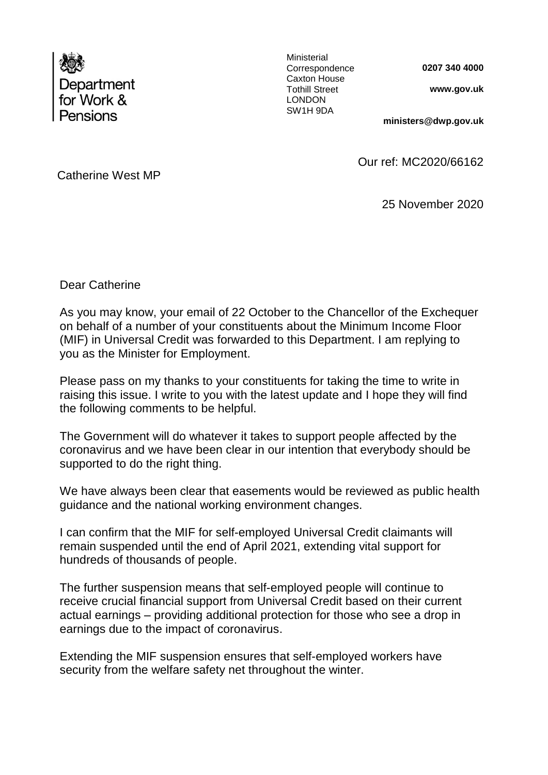

Ministerial Correspondence Caxton House Tothill Street LONDON SW1H 9DA

**0207 340 4000**

**www.gov.uk** 

**ministers@dwp.gov.uk**

Catherine West MP

Our ref: MC2020/66162

25 November 2020

Dear Catherine

As you may know, your email of 22 October to the Chancellor of the Exchequer on behalf of a number of your constituents about the Minimum Income Floor (MIF) in Universal Credit was forwarded to this Department. I am replying to you as the Minister for Employment.

Please pass on my thanks to your constituents for taking the time to write in raising this issue. I write to you with the latest update and I hope they will find the following comments to be helpful.

The Government will do whatever it takes to support people affected by the coronavirus and we have been clear in our intention that everybody should be supported to do the right thing.

We have always been clear that easements would be reviewed as public health guidance and the national working environment changes.

I can confirm that the MIF for self-employed Universal Credit claimants will remain suspended until the end of April 2021, extending vital support for hundreds of thousands of people.

The further suspension means that self-employed people will continue to receive crucial financial support from Universal Credit based on their current actual earnings – providing additional protection for those who see a drop in earnings due to the impact of coronavirus.

Extending the MIF suspension ensures that self-employed workers have security from the welfare safety net throughout the winter.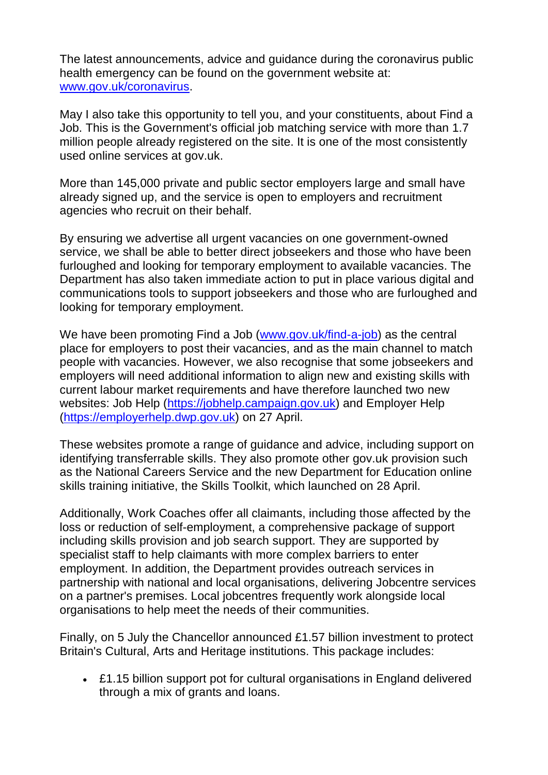The latest announcements, advice and guidance during the coronavirus public health emergency can be found on the government website at: [www.gov.uk/coronavirus.](http://www.gov.uk/coronavirus)

May I also take this opportunity to tell you, and your constituents, about Find a Job. This is the Government's official job matching service with more than 1.7 million people already registered on the site. It is one of the most consistently used online services at gov.uk.

More than 145,000 private and public sector employers large and small have already signed up, and the service is open to employers and recruitment agencies who recruit on their behalf.

By ensuring we advertise all urgent vacancies on one government-owned service, we shall be able to better direct jobseekers and those who have been furloughed and looking for temporary employment to available vacancies. The Department has also taken immediate action to put in place various digital and communications tools to support jobseekers and those who are furloughed and looking for temporary employment.

We have been promoting Find a Job [\(www.gov.uk/find-a-job\)](http://www.gov.uk/find-a-job) as the central place for employers to post their vacancies, and as the main channel to match people with vacancies. However, we also recognise that some jobseekers and employers will need additional information to align new and existing skills with current labour market requirements and have therefore launched two new websites: Job Help [\(https://jobhelp.campaign.gov.uk\)](https://jobhelp.campaign.gov.uk/) and Employer Help [\(https://employerhelp.dwp.gov.uk\)](https://employerhelp.dwp.gov.uk/) on 27 April.

These websites promote a range of guidance and advice, including support on identifying transferrable skills. They also promote other gov.uk provision such as the National Careers Service and the new Department for Education online skills training initiative, the Skills Toolkit, which launched on 28 April.

Additionally, Work Coaches offer all claimants, including those affected by the loss or reduction of self-employment, a comprehensive package of support including skills provision and job search support. They are supported by specialist staff to help claimants with more complex barriers to enter employment. In addition, the Department provides outreach services in partnership with national and local organisations, delivering Jobcentre services on a partner's premises. Local jobcentres frequently work alongside local organisations to help meet the needs of their communities.

Finally, on 5 July the Chancellor announced £1.57 billion investment to protect Britain's Cultural, Arts and Heritage institutions. This package includes:

 £1.15 billion support pot for cultural organisations in England delivered through a mix of grants and loans.